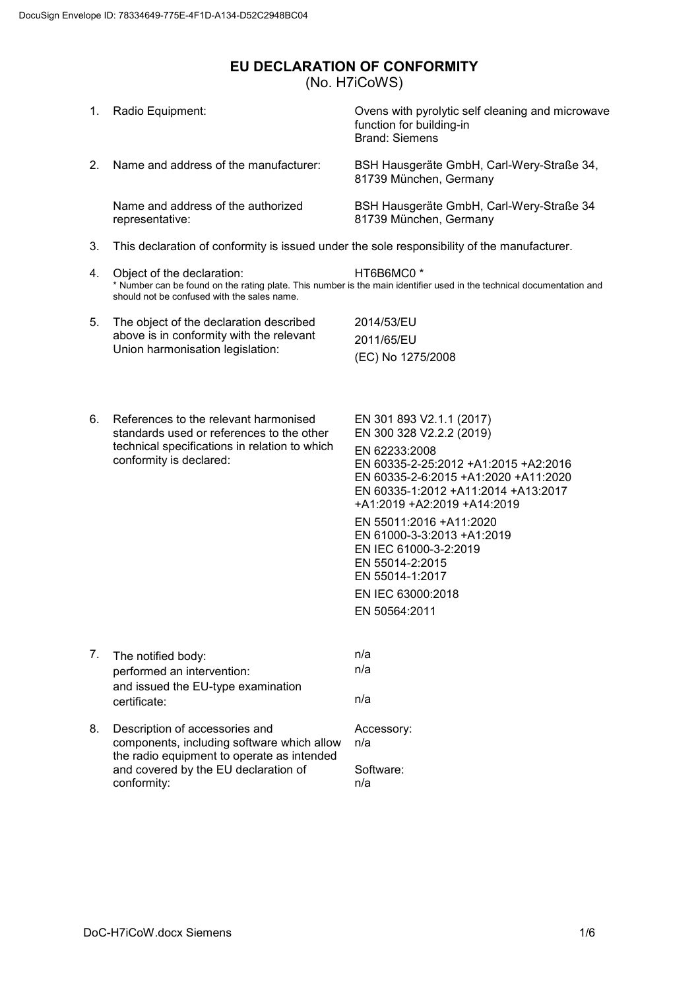## <span id="page-0-0"></span>**EU DECLARATION OF CONFORMITY** (No. H7iCoWS)

| Ovens with pyrolytic self cleaning and microwave                                                                                                                                                                                                                    |  |  |
|---------------------------------------------------------------------------------------------------------------------------------------------------------------------------------------------------------------------------------------------------------------------|--|--|
| BSH Hausgeräte GmbH, Carl-Wery-Straße 34,<br>81739 München, Germany                                                                                                                                                                                                 |  |  |
| BSH Hausgeräte GmbH, Carl-Wery-Straße 34<br>81739 München, Germany                                                                                                                                                                                                  |  |  |
| This declaration of conformity is issued under the sole responsibility of the manufacturer.                                                                                                                                                                         |  |  |
| * Number can be found on the rating plate. This number is the main identifier used in the technical documentation and                                                                                                                                               |  |  |
|                                                                                                                                                                                                                                                                     |  |  |
| 2011/65/EU                                                                                                                                                                                                                                                          |  |  |
|                                                                                                                                                                                                                                                                     |  |  |
| EN 301 893 V2.1.1 (2017)<br>EN 300 328 V2.2.2 (2019)<br>EN 60335-2-25:2012 +A1:2015 +A2:2016<br>EN 60335-2-6:2015 +A1:2020 +A11:2020<br>EN 60335-1:2012 +A11:2014 +A13:2017<br>+A1:2019 +A2:2019 +A14:2019<br>EN 55011:2016 +A11:2020<br>EN 61000-3-3:2013 +A1:2019 |  |  |
|                                                                                                                                                                                                                                                                     |  |  |
|                                                                                                                                                                                                                                                                     |  |  |
|                                                                                                                                                                                                                                                                     |  |  |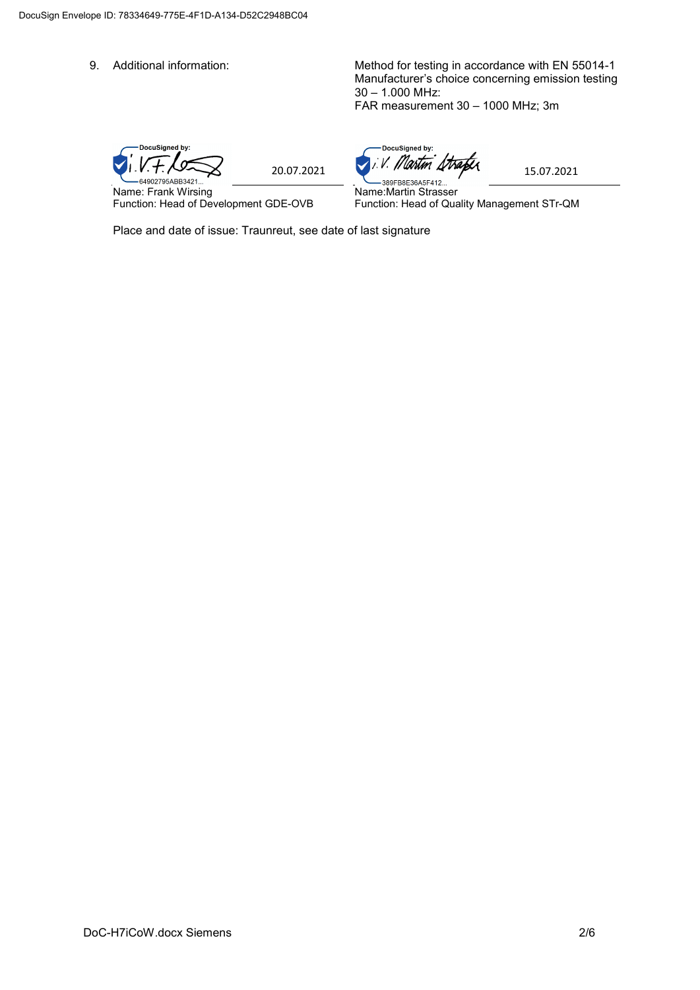9. Additional information: Method for testing in accordance with EN 55014-1 Manufacturer's choice concerning emission testing 30 – 1.000 MHz: FAR measurement 30 – 1000 MHz; 3m

DocuSigned by:  $1.1.7.7$ 

Name: Frank Wirsing Function: Head of Development GDE-OVB

DocuSigned by:

Name:Martin Strasser Function: Head of Quality Management STr-QM

Place and date of issue: Traunreut, see date of last signature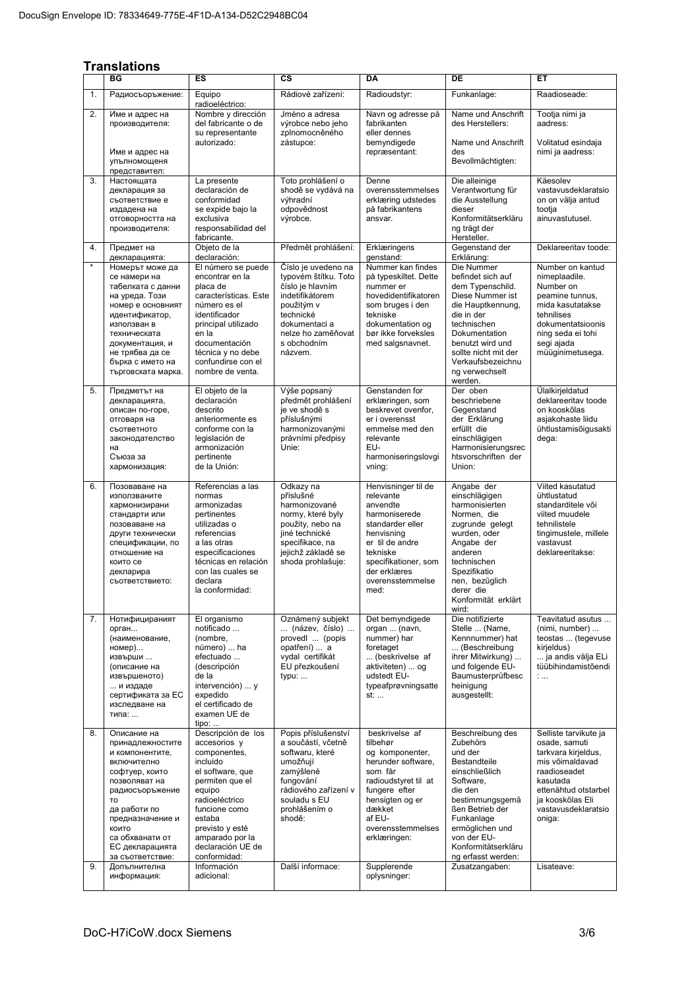## **Translations**

|          | ES<br>СS<br><b>DA</b><br>DE<br>ВG<br>EТ                                                                                                                                                                                                              |                                                                                                                                                                                                                                                        |                                                                                                                                                                                           |                                                                                                                                                                                                                    |                                                                                                                                                                                                                                                        |                                                                                                                                                                                                         |
|----------|------------------------------------------------------------------------------------------------------------------------------------------------------------------------------------------------------------------------------------------------------|--------------------------------------------------------------------------------------------------------------------------------------------------------------------------------------------------------------------------------------------------------|-------------------------------------------------------------------------------------------------------------------------------------------------------------------------------------------|--------------------------------------------------------------------------------------------------------------------------------------------------------------------------------------------------------------------|--------------------------------------------------------------------------------------------------------------------------------------------------------------------------------------------------------------------------------------------------------|---------------------------------------------------------------------------------------------------------------------------------------------------------------------------------------------------------|
|          |                                                                                                                                                                                                                                                      |                                                                                                                                                                                                                                                        |                                                                                                                                                                                           |                                                                                                                                                                                                                    |                                                                                                                                                                                                                                                        |                                                                                                                                                                                                         |
| 1.       | Радиосъоръжение:                                                                                                                                                                                                                                     | Rádiové zařízení:<br>Equipo<br>radioeléctrico:                                                                                                                                                                                                         |                                                                                                                                                                                           | Radioudstyr:                                                                                                                                                                                                       | Funkanlage:                                                                                                                                                                                                                                            | Raadioseade:                                                                                                                                                                                            |
| 2.       | Име и адрес на<br>производителя:<br>Име и адрес на                                                                                                                                                                                                   | Nombre y dirección<br>del fabricante o de<br>su representante<br>autorizado:                                                                                                                                                                           | Jméno a adresa<br>výrobce nebo jeho<br>zplnomocněného<br>zástupce:                                                                                                                        | Navn og adresse på<br>fabrikanten<br>eller dennes<br>bemyndigede<br>repræsentant:                                                                                                                                  | Name und Anschrift<br>des Herstellers:<br>Name und Anschrift<br>des                                                                                                                                                                                    | Tootja nimi ja<br>aadress:<br>Volitatud esindaja<br>nimi ja aadress:                                                                                                                                    |
|          | упълномощеня<br>представител:                                                                                                                                                                                                                        |                                                                                                                                                                                                                                                        |                                                                                                                                                                                           |                                                                                                                                                                                                                    | Bevollmächtigten:                                                                                                                                                                                                                                      |                                                                                                                                                                                                         |
| 3.       | Настоящата<br>декларация за<br>съответствие е<br>издадена на<br>отговорността на<br>производителя:                                                                                                                                                   | La presente<br>declaración de<br>conformidad<br>se expide bajo la<br>exclusiva<br>responsabilidad del<br>fabricante.                                                                                                                                   | Toto prohlášení o<br>shodě se vydává na<br>výhradní<br>odpovědnost<br>výrobce.                                                                                                            | Denne<br>overensstemmelses<br>erklæring udstedes<br>på fabrikantens<br>ansvar.                                                                                                                                     | Die alleinige<br>Verantwortung für<br>die Ausstellung<br>dieser<br>Konformitätserkläru<br>ng trägt der<br>Hersteller.                                                                                                                                  | Käesolev<br>vastavusdeklaratsio<br>on on välja antud<br>tootja<br>ainuvastutusel.                                                                                                                       |
| 4.       | Предмет на<br>декларацията:                                                                                                                                                                                                                          | Objeto de la<br>declaración:                                                                                                                                                                                                                           | Předmět prohlášení:                                                                                                                                                                       | Erklæringens<br>qenstand:                                                                                                                                                                                          | Gegenstand der<br>Erklärung:                                                                                                                                                                                                                           | Deklareeritav toode:                                                                                                                                                                                    |
| $\star$  | Номерът може да<br>се намери на<br>табелката с данни<br>на уреда. Този<br>номер е основният<br>идентификатор,<br>използван в<br>техническата<br>документация, и<br>не трябва да се<br>бърка с името на<br>търговската марка.                         | El número se puede<br>encontrar en la<br>placa de<br>características. Este<br>número es el<br>identificador<br>principal utilizado<br>en la<br>documentación<br>técnica y no debe<br>confundirse con el<br>nombre de venta.                            | Číslo je uvedeno na<br>typovém štítku. Toto<br>číslo je hlavním<br>indetifikátorem<br>použitým v<br>technické<br>dokumentaci a<br>nelze ho zaměňovat<br>s obchodním<br>názvem.            | Nummer kan findes<br>på typeskiltet. Dette<br>nummer er<br>hovedidentifikatoren<br>som bruges i den<br>tekniske<br>dokumentation og<br>bør ikke forveksles<br>med salgsnavnet.                                     | Die Nummer<br>befindet sich auf<br>dem Typenschild.<br>Diese Nummer ist<br>die Hauptkennung,<br>die in der<br>technischen<br>Dokumentation<br>benutzt wird und<br>sollte nicht mit der<br>Verkaufsbezeichnu<br>ng verwechselt<br>werden.               | Number on kantud<br>nimeplaadile.<br>Number on<br>peamine tunnus,<br>mida kasutatakse<br>tehnilises<br>dokumentatsioonis<br>ning seda ei tohi<br>segi ajada<br>müüqinimetusega.                         |
| 5.       | Предметът на<br>декларацията,<br>описан по-горе,<br>отговаря на<br>съответното<br>законодателство<br>на<br>Съюза за<br>хармонизация:                                                                                                                 | El objeto de la<br>declaración<br>descrito<br>anteriormente es<br>conforme con la<br>legislación de<br>armonización<br>pertinente<br>de la Unión:                                                                                                      | Výše popsaný<br>předmět prohlášení<br>je ve shodě s<br>příslušnými<br>harmonizovanými<br>právními předpisy<br>Unie:                                                                       | Genstanden for<br>erklæringen, som<br>beskrevet ovenfor,<br>er i overensst<br>emmelse med den<br>relevante<br>EU-<br>harmoniseringslovgi<br>vning:                                                                 | Der oben<br>beschriebene<br>Gegenstand<br>der Erklärung<br>erfüllt die<br>einschlägigen<br>Harmonisierungsrec<br>htsvorschriften der<br>Union:                                                                                                         | Ülalkirjeldatud<br>deklareeritav toode<br>on kooskõlas<br>asjakohaste liidu<br>ühtlustamisõigusakti<br>dega:                                                                                            |
| 6.       | Позоваване на<br>използваните<br>хармонизирани<br>стандарти или<br>позоваване на<br>други технически<br>спецификации, по<br>отношение на<br>които се<br>декларира<br>съответствието:                                                                 | Referencias a las<br>normas<br>armonizadas<br>pertinentes<br>utilizadas o<br>referencias<br>a las otras<br>especificaciones<br>técnicas en relación<br>con las cuales se<br>declara<br>la conformidad:                                                 | Odkazy na<br>příslušné<br>harmonizované<br>normy, které byly<br>použity, nebo na<br>jiné technické<br>specifikace, na<br>jejichž základě se<br>shoda prohlašuje:                          | Henvisninger til de<br>relevante<br>anvendte<br>harmoniserede<br>standarder eller<br>henvisning<br>er til de andre<br>tekniske<br>specifikationer, som<br>der erklæres<br>overensstemmelse<br>med:                 | Angabe der<br>einschlägigen<br>harmonisierten<br>Normen, die<br>zugrunde gelegt<br>wurden, oder<br>Angabe der<br>anderen<br>technischen<br>Spezifikatio<br>nen, bezüglich<br>derer die<br>Konformität erklärt<br>wird:                                 | Viited kasutatud<br>ühtlustatud<br>standarditele või<br>viited muudele<br>tehnilistele<br>tingimustele, millele<br>vastavust<br>deklareeritakse:                                                        |
| 7.       | Нотифицираният<br>орган<br>(наименование,<br>номер)<br>извърши<br>(описание на<br>извършеното)<br>и издаде<br>сертификата за ЕС<br>изследване на<br>типа:                                                                                            | El organismo<br>notificado<br>(nombre,<br>número)  ha<br>efectuado<br>(descripción<br>de la<br>intervención)  y<br>expedido<br>el certificado de<br>examen UE de<br>$tipo: $                                                                           | Oznámený subjekt<br>(název, číslo)<br>provedl  (popis<br>opatření)  a<br>vydal certifikát<br>EU přezkoušení<br>typu:                                                                      | Det bemyndigede<br>organ  (navn,<br>nummer) har<br>foretaget<br>(beskrivelse af<br>aktiviteten)  og<br>udstedt EU-<br>typeafprøvningsatte<br>st:                                                                   | Die notifizierte<br>Stelle  (Name,<br>Kennnummer) hat<br>(Beschreibung<br>ihrer Mitwirkung)<br>und folgende EU-<br>Baumusterprüfbesc<br>heinigung<br>ausgestellt:                                                                                      | Teavitatud asutus<br>(nimi, number)<br>teostas  (tegevuse<br>kirjeldus)<br>ja andis välja ELi<br>tüübihindamistõendi<br>1.11                                                                            |
| 8.<br>9. | Описание на<br>принадлежностите<br>и компонентите,<br>включително<br>софтуер, които<br>позволяват на<br>радиосъоръжение<br>TO<br>да работи по<br>предназначение и<br>КОИТО<br>са обхванати от<br>ЕС декларацията<br>за съответствие:<br>Допълнителна | Descripción de los<br>accesorios y<br>componentes,<br>incluido<br>el software, que<br>permiten que el<br>equipo<br>radioeléctrico<br>funcione como<br>estaba<br>previsto y esté<br>amparado por la<br>declaración UE de<br>conformidad:<br>Información | Popis příslušenství<br>a součástí, včetně<br>softwaru, které<br>umožňují<br>zamýšlené<br>fungování<br>rádiového zařízení v<br>souladu s EU<br>prohlášením o<br>shodě:<br>Další informace: | beskrivelse af<br>tilbehør<br>og komponenter,<br>herunder software,<br>som får<br>radioudstyret til at<br>fungere efter<br>hensigten og er<br>dækket<br>af EU-<br>overensstemmelses<br>erklæringen:<br>Supplerende | Beschreibung des<br>Zubehörs<br>und der<br>Bestandteile<br>einschließlich<br>Software,<br>die den<br>bestimmungsgemä<br>ßen Betrieb der<br>Funkanlage<br>ermöglichen und<br>von der EU-<br>Konformitätserkläru<br>ng erfasst werden:<br>Zusatzangaben: | Selliste tarvikute ja<br>osade, samuti<br>tarkvara kirjeldus,<br>mis võimaldavad<br>raadioseadet<br>kasutada<br>ettenähtud otstarbel<br>ja kooskõlas Eli<br>vastavusdeklaratsio<br>oniga:<br>Lisateave: |
|          | информация:                                                                                                                                                                                                                                          | adicional:                                                                                                                                                                                                                                             |                                                                                                                                                                                           | oplysninger:                                                                                                                                                                                                       |                                                                                                                                                                                                                                                        |                                                                                                                                                                                                         |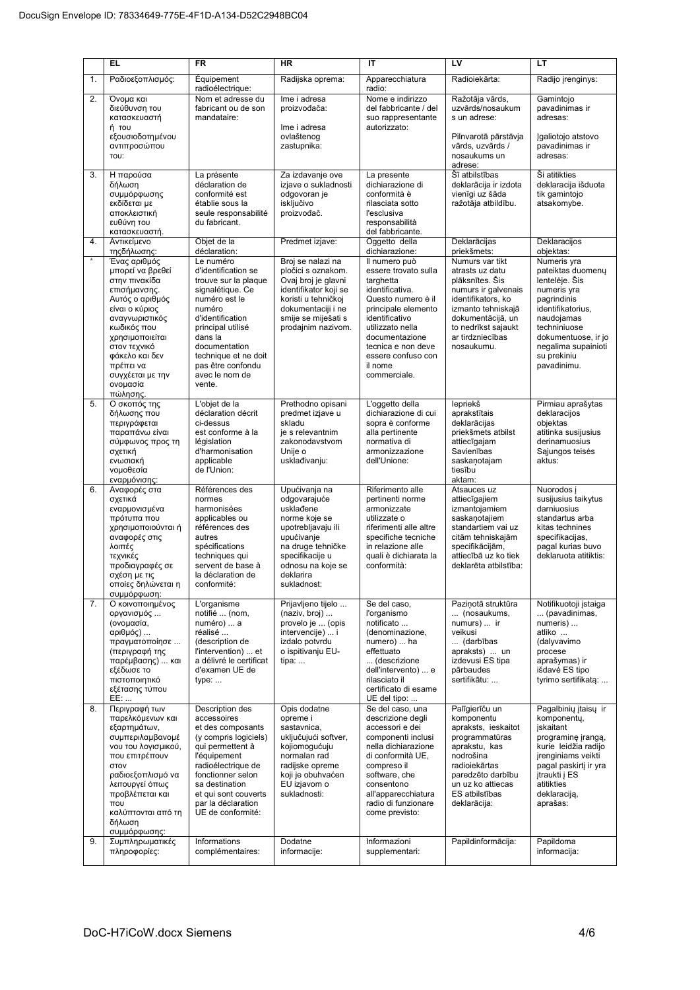|          | <b>EL</b>                                                                                                                                                                                                                                                    | <b>FR</b>                                                                                                                                                                                                                                             | <b>HR</b>                                                                                                                                                                                | IT                                                                                                                                                                                                                                                       | LV                                                                                                                                                                                                                     | LT                                                                                                                                                                                                                    |
|----------|--------------------------------------------------------------------------------------------------------------------------------------------------------------------------------------------------------------------------------------------------------------|-------------------------------------------------------------------------------------------------------------------------------------------------------------------------------------------------------------------------------------------------------|------------------------------------------------------------------------------------------------------------------------------------------------------------------------------------------|----------------------------------------------------------------------------------------------------------------------------------------------------------------------------------------------------------------------------------------------------------|------------------------------------------------------------------------------------------------------------------------------------------------------------------------------------------------------------------------|-----------------------------------------------------------------------------------------------------------------------------------------------------------------------------------------------------------------------|
| 1.       | Ραδιοεξοπλισμός:                                                                                                                                                                                                                                             | Équipement<br>radioélectrique:                                                                                                                                                                                                                        | Radijska oprema:                                                                                                                                                                         | Apparecchiatura<br>radio:                                                                                                                                                                                                                                | Radioiekārta:                                                                                                                                                                                                          | Radijo įrenginys:                                                                                                                                                                                                     |
| 2.       | Όνομα και<br>διεύθυνση του<br>κατασκευαστή<br>ή του<br>εξουσιοδοτημένου<br>αντιπροσώπου<br>TOU:                                                                                                                                                              | Nom et adresse du<br>fabricant ou de son<br>mandataire:                                                                                                                                                                                               | Ime i adresa<br>proizvođača:<br>Ime i adresa<br>ovlaštenog<br>zastupnika:                                                                                                                | Nome e indirizzo<br>del fabbricante / del<br>suo rappresentante<br>autorizzato:                                                                                                                                                                          | Ražotāja vārds,<br>uzvārds/nosaukum<br>s un adrese:<br>Pilnvarotā pārstāvja<br>vārds, uzvārds /<br>nosaukums un<br>adrese:                                                                                             | Gamintojo<br>pavadinimas ir<br>adresas:<br>Igaliotojo atstovo<br>pavadinimas ir<br>adresas:                                                                                                                           |
| 3.       | Η παρούσα<br>δήλωση<br>συμμόρφωσης<br>εκδίδεται με<br>αποκλειστική<br>ευθύνη του<br>κατασκευαστή.                                                                                                                                                            | La présente<br>déclaration de<br>conformité est<br>établie sous la<br>seule responsabilité<br>du fabricant.                                                                                                                                           | Za izdavanje ove<br>izjave o sukladnosti<br>odgovoran je<br>isključivo<br>proizvođač.                                                                                                    | La presente<br>dichiarazione di<br>conformità è<br>rilasciata sotto<br>l'esclusiva<br>responsabilità<br>del fabbricante.                                                                                                                                 | Šī atbilstības<br>deklarācija ir izdota<br>vienīgi uz šāda<br>ražotāja atbildību.                                                                                                                                      | Ši atitikties<br>deklaracija išduota<br>tik gamintojo<br>atsakomybe.                                                                                                                                                  |
| 4.       | Αντικείμενο<br>τηςδήλωσης:                                                                                                                                                                                                                                   | Objet de la<br>déclaration:                                                                                                                                                                                                                           | Predmet izjave:                                                                                                                                                                          | Oggetto della<br>dichiarazione:                                                                                                                                                                                                                          | Deklarācijas<br>priekšmets:                                                                                                                                                                                            | Deklaracijos<br>objektas:                                                                                                                                                                                             |
| $\star$  | Ένας αριθμός<br>μπορεί να βρεθεί<br>στην πινακίδα<br>επισήμανσης.<br>Αυτός ο αριθμός<br>είναι ο κύριος<br>αναγνωριστικός<br>κωδικός που<br>χρησιμοποιείται<br>στον τεχνικό<br>φάκελο και δεν<br>πρέπει να<br>συγχέεται με την<br>ονομασία<br>πώλησης.        | Le numéro<br>d'identification se<br>trouve sur la plaque<br>signalétique. Ce<br>numéro est le<br>numéro<br>d'identification<br>principal utilisé<br>dans la<br>documentation<br>technique et ne doit<br>pas être confondu<br>avec le nom de<br>vente. | Broj se nalazi na<br>pločici s oznakom.<br>Ovaj broj je glavni<br>identifikator koji se<br>koristi u tehničkoj<br>dokumentaciji i ne<br>smije se miješati s<br>prodajnim nazivom.        | Il numero può<br>essere trovato sulla<br>targhetta<br>identificativa.<br>Questo numero è il<br>principale elemento<br>identificativo<br>utilizzato nella<br>documentazione<br>tecnica e non deve<br>essere confuso con<br>il nome<br>commerciale.        | Numurs var tikt<br>atrasts uz datu<br>plāksnītes. Šis<br>numurs ir galvenais<br>identifikators, ko<br>izmanto tehniskajā<br>dokumentācijā, un<br>to nedrīkst sajaukt<br>ar tirdzniecības<br>nosaukumu.                 | Numeris yra<br>pateiktas duomenų<br>lentelėje. Šis<br>numeris yra<br>pagrindinis<br>identifikatorius,<br>naudojamas<br>techniniuose<br>dokumentuose, ir jo<br>negalima supainioti<br>su prekiniu<br>pavadinimu.       |
| 5.       | Ο σκοπός της<br>δήλωσης που<br>περιγράφεται<br>παραπάνω είναι<br>σύμφωνος προς τη<br>σχετική<br>ενωσιακή<br>νομοθεσία<br>εναρμόνισης:                                                                                                                        | L'objet de la<br>déclaration décrit<br>ci-dessus<br>est conforme à la<br>législation<br>d'harmonisation<br>applicable<br>de l'Union:                                                                                                                  | Prethodno opisani<br>predmet izjave u<br>skladu<br>je s relevantnim<br>zakonodavstvom<br>Unije o<br>usklađivanju:                                                                        | L'oggetto della<br>dichiarazione di cui<br>sopra è conforme<br>alla pertinente<br>normativa di<br>armonizzazione<br>dell'Unione:                                                                                                                         | lepriekš<br>aprakstītais<br>deklarācijas<br>priekšmets atbilst<br>attiecīgajam<br>Savienības<br>saskanotajam<br>tiesību<br>aktam:                                                                                      | Pirmiau aprašytas<br>deklaracijos<br>objektas<br>atitinka susijusius<br>derinamuosius<br>Sąjungos teisės<br>aktus:                                                                                                    |
| 6.       | Αναφορές στα<br>σχετικά<br>εναρμονισμένα<br>πρότυπα που<br>χρησιμοποιούνται ή<br>αναφορές στις<br>λοιπές<br>τεχνικές<br>προδιαγραφές σε<br>σχέση με τις<br>οποίες δηλώνεται η<br>συμμόρφωση:                                                                 | Références des<br>normes<br>harmonisées<br>applicables ou<br>références des<br>autres<br>spécifications<br>techniques qui<br>servent de base à<br>la déclaration de<br>conformité:                                                                    | Upućivanja na<br>odgovarajuće<br>usklađene<br>norme koje se<br>upotrebljavaju ili<br>upućivanje<br>na druge tehničke<br>specifikacije u<br>odnosu na koje se<br>deklarira<br>sukladnost: | Riferimento alle<br>pertinenti norme<br>armonizzate<br>utilizzate o<br>riferimenti alle altre<br>specifiche tecniche<br>in relazione alle<br>quali è dichiarata la<br>conformità:                                                                        | Atsauces uz<br>attiecīgajiem<br>izmantojamiem<br>saskanotajiem<br>standartiem vai uz<br>citām tehniskajām<br>specifikācijām,<br>attiecībā uz ko tiek<br>deklarēta atbilstība:                                          | Nuorodos j<br>susijusius taikytus<br>darniuosius<br>standartus arba<br>kitas technines<br>specifikacijas,<br>pagal kurias buvo<br>deklaruota atitiktis:                                                               |
| 7.       | Ο κοινοποιημένος<br>οργανισμός<br>(ονομασία,<br>αριθμός)<br>πραγματοποίησε<br>(περιγραφή της<br>παρέμβασης)  και<br>εξέδωσε το<br>πιστοποιητικό<br>εξέτασης τύπου<br>EE:                                                                                     | L'organisme<br>notifié  (nom,<br>numéro)  a<br>réalisé<br>(description de<br>l'intervention)  et<br>a délivré le certificat<br>d'examen UE de<br>type:<br>Description des                                                                             | Prijavljeno tijelo<br>(naziv, broj)<br>provelo je  (opis<br>intervencije)  i<br>izdalo potvrdu<br>o ispitivanju EU-<br>tipa:                                                             | Se del caso,<br>l'organismo<br>notificato<br>(denominazione,<br>numero)  ha<br>effettuato<br>(descrizione<br>dell'intervento)  e<br>rilasciato il<br>certificato di esame<br>UE del tipo:                                                                | Paziņotā struktūra<br>(nosaukums,<br>numurs)  ir<br>veikusi<br>(darbības<br>apraksts)  un<br>izdevusi ES tipa<br>pārbaudes<br>sertifikātu:                                                                             | Notifikuotoji istaiga<br>(pavadinimas,<br>numeris)<br>atliko<br>(dalyvavimo<br>procese<br>aprašymas) ir<br>išdavė ES tipo<br>tyrimo sertifikatą:                                                                      |
| 8.<br>9. | Περιγραφή των<br>παρελκόμενων και<br>εξαρτημάτων,<br>συμπεριλαμβανομέ<br>νου του λογισμικού,<br>που επιτρέπουν<br>στον<br>ραδιοεξοπλισμό να<br>λειτουργεί όπως<br>προβλέπεται και<br>TTOU<br>καλύπτονται από τη<br>δήλωση<br>συμμόρφωσης:<br>Συμπληρωματικές | accessoires<br>et des composants<br>(y compris logiciels)<br>qui permettent à<br>l'équipement<br>radioélectrique de<br>fonctionner selon<br>sa destination<br>et qui sont couverts<br>par la déclaration<br>UE de conformité:<br>Informations         | Opis dodatne<br>opreme i<br>sastavnica,<br>uključujući softver,<br>kojiomogućuju<br>normalan rad<br>radijske opreme<br>koji je obuhvaćen<br>EU izjavom o<br>sukladnosti:<br>Dodatne      | Se del caso, una<br>descrizione degli<br>accessori e dei<br>componenti inclusi<br>nella dichiarazione<br>di conformità UE,<br>compreso il<br>software, che<br>consentono<br>all'apparecchiatura<br>radio di funzionare<br>come previsto:<br>Informazioni | Palīgierīču un<br>komponentu<br>apraksts, ieskaitot<br>programmatūras<br>aprakstu, kas<br>nodrošina<br>radioiekārtas<br>paredzēto darbību<br>un uz ko attiecas<br>ES atbilstības<br>deklarācija:<br>Papildinformācija: | Pagalbinių įtaisų ir<br>komponentu,<br>jskaitant<br>programinę įrangą,<br>kurie leidžia radijo<br>jrenginiams veikti<br>pagal paskirti ir yra<br>jtraukti j ES<br>atitikties<br>deklaraciją,<br>aprašas:<br>Papildoma |
|          | πληροφορίες:                                                                                                                                                                                                                                                 | complémentaires:                                                                                                                                                                                                                                      | informacije:                                                                                                                                                                             | supplementari:                                                                                                                                                                                                                                           |                                                                                                                                                                                                                        | informacija:                                                                                                                                                                                                          |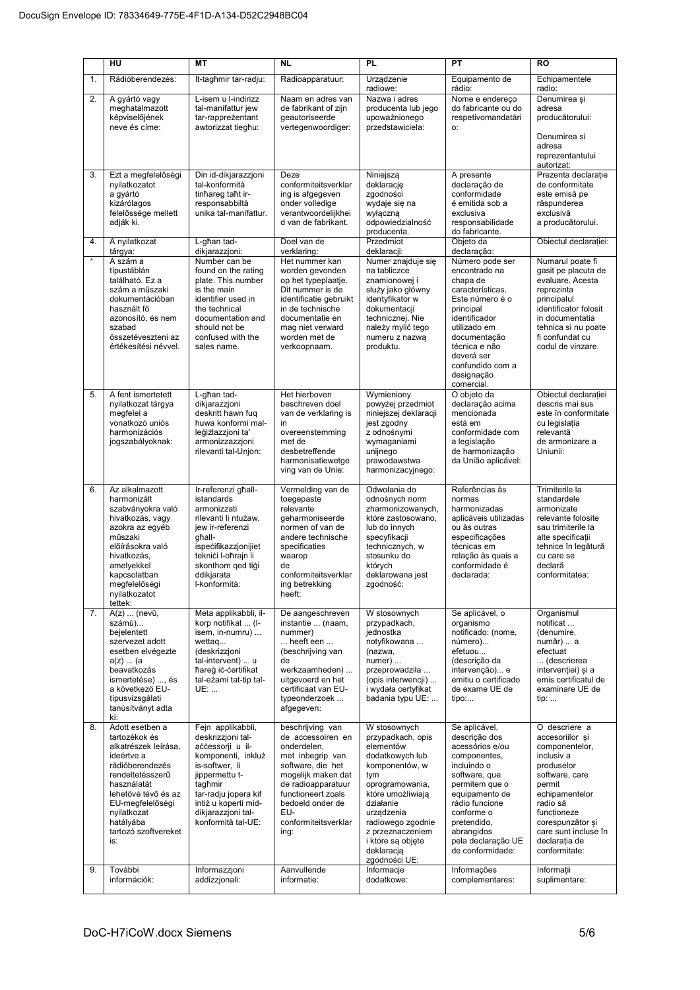|          | HU                                                                                                                                                                                                                                            | <b>MT</b>                                                                                                                                                                                                                                    | <b>NL</b>                                                                                                                                                                                                                                 | <b>PL</b>                                                                                                                                                                                                                                                                | PT                                                                                                                                                                                                                                                          | <b>RO</b>                                                                                                                                                                                                                                           |
|----------|-----------------------------------------------------------------------------------------------------------------------------------------------------------------------------------------------------------------------------------------------|----------------------------------------------------------------------------------------------------------------------------------------------------------------------------------------------------------------------------------------------|-------------------------------------------------------------------------------------------------------------------------------------------------------------------------------------------------------------------------------------------|--------------------------------------------------------------------------------------------------------------------------------------------------------------------------------------------------------------------------------------------------------------------------|-------------------------------------------------------------------------------------------------------------------------------------------------------------------------------------------------------------------------------------------------------------|-----------------------------------------------------------------------------------------------------------------------------------------------------------------------------------------------------------------------------------------------------|
| 1.       | Rádióberendezés:                                                                                                                                                                                                                              | It-tagħmir tar-radju:                                                                                                                                                                                                                        | Radioapparatuur:                                                                                                                                                                                                                          | Urządzenie<br>radiowe:                                                                                                                                                                                                                                                   | Equipamento de<br>rádio:                                                                                                                                                                                                                                    | Echipamentele                                                                                                                                                                                                                                       |
| 2.       | A gyártó vagy<br>meghatalmazott<br>képviselőjének<br>neve és címe:                                                                                                                                                                            | L-isem u l-indirizz<br>tal-manifattur jew<br>tar-rappreżentant<br>awtorizzat tiegħu:                                                                                                                                                         | Naam en adres van<br>de fabrikant of zijn<br>geautoriseerde<br>vertegenwoordiger:                                                                                                                                                         | Nazwa i adres<br>producenta lub jego<br>upoważnionego<br>przedstawiciela:                                                                                                                                                                                                | Nome e endereço<br>do fabricante ou do<br>respetivomandatári<br>О.                                                                                                                                                                                          | radio:<br>Denumirea și<br>adresa<br>producătorului:<br>Denumirea si<br>adresa<br>reprezentantului<br>autorizat:                                                                                                                                     |
| 3.       | Ezt a megfelelőségi<br>nyilatkozatot<br>a gyártó<br>kizárólagos<br>felelőssége mellett<br>adják ki.                                                                                                                                           | Din id-dikjarazzjoni<br>tal-konformità<br>tinhareg taht ir-<br>responsabbiltà<br>unika tal-manifattur.                                                                                                                                       | Deze<br>conformiteitsverklar<br>ing is afgegeven<br>onder volledige<br>verantwoordeliikhei<br>d van de fabrikant.                                                                                                                         | Niniejszą<br>deklarację<br>zgodności<br>wydaje się na<br>wyłączną<br>odpowiedzialność<br>producenta.                                                                                                                                                                     | A presente<br>declaração de<br>conformidade<br>é emitida sob a<br>exclusiva<br>responsabilidade<br>do fabricante.                                                                                                                                           | Prezenta declarație<br>de conformitate<br>este emisă pe<br>răspunderea<br>exclusivă<br>a producătorului.                                                                                                                                            |
| 4.       | A nyilatkozat<br>tárgya:                                                                                                                                                                                                                      | L-għan tad-<br>dikjarazzjoni:                                                                                                                                                                                                                | Doel van de<br>verklaring:                                                                                                                                                                                                                | Przedmiot<br>deklaracji:                                                                                                                                                                                                                                                 | Objeto da<br>declaração:                                                                                                                                                                                                                                    | Obiectul declarației:                                                                                                                                                                                                                               |
| $\star$  | A szám a<br>típustáblán<br>található. Ez a<br>szám a műszaki<br>dokumentációban<br>használt fő<br>azonosító, és nem<br>szabad<br>összetéveszteni az<br>értékesítési névvel.                                                                   | Number can be<br>found on the rating<br>plate. This number<br>is the main<br>identifier used in<br>the technical<br>documentation and<br>should not be<br>confused with the<br>sales name.                                                   | Het nummer kan<br>worden gevonden<br>op het typeplaatje.<br>Dit nummer is de<br>identificatie gebruikt<br>in de technische<br>documentatie en<br>mag niet verward<br>worden met de<br>verkoopnaam.                                        | Numer znajduje się<br>na tabliczce<br>znamionowej i<br>służy jako główny<br>identyfikator w<br>dokumentacji<br>technicznej. Nie<br>należy mylić tego<br>numeru z nazwą<br>produktu.                                                                                      | Número pode ser<br>encontrado na<br>chapa de<br>características.<br>Este número é o<br>principal<br>identificador<br>utilizado em<br>documentação<br>técnica e não<br>deverá ser<br>confundido com a<br>designação<br>comercial.                            | Numarul poate fi<br>gasit pe placuta de<br>evaluare. Acesta<br>reprezinta<br>principalul<br>identificator folosit<br>in documentatia<br>tehnica si nu poate<br>fi confundat cu<br>codul de vinzare.                                                 |
| 5.       | A fent ismertetett<br>nyilatkozat tárgya<br>megfelel a<br>vonatkozó uniós<br>harmonizációs<br>jogszabályoknak:                                                                                                                                | L-għan tad-<br>dikjarazzjoni<br>deskritt hawn fug<br>huwa konformi mal-<br>leģiżlazzjoni ta'<br>armonizzazzjoni<br>rilevanti tal-Unjon:                                                                                                      | Het hierboven<br>beschreven doel<br>van de verklaring is<br>in<br>overeenstemming<br>met de<br>desbetreffende<br>harmonisatiewetge<br>ving van de Unie:                                                                                   | Wymieniony<br>powyżej przedmiot<br>niniejszej deklaracji<br>jest zgodny<br>z odnośnymi<br>wymaganiami<br>unijnego<br>prawodawstwa<br>harmonizacyjnego:                                                                                                                   | O objeto da<br>declaração acima<br>mencionada<br>está em<br>conformidade com<br>a legislação<br>de harmonização<br>da União aplicável:                                                                                                                      | Obiectul declarației<br>descris mai sus<br>este în conformitate<br>cu legislația<br>relevantă<br>de armonizare a<br>Uniunii:                                                                                                                        |
| 6.       | Az alkalmazott<br>harmonizált<br>szabványokra való<br>hivatkozás, vagy<br>azokra az egyéb<br>műszaki<br>előírásokra való<br>hivatkozás,<br>amelyekkel<br>kapcsolatban<br>megfelelőségi<br>nyilatkozatot<br>tettek:                            | Ir-referenzi għall-<br>istandards<br>armonizzati<br>rilevanti li ntużaw,<br>jew ir-referenzi<br>qhall-<br>ispecifikazzjonijiet<br>teknići l-oħrajn li<br>skonthom ged tigi<br>ddikjarata<br>I-konformità:                                    | Vermelding van de<br>toegepaste<br>relevante<br>geharmoniseerde<br>normen of van de<br>andere technische<br>specificaties<br>waarop<br>de<br>conformiteitsverklar<br>ing betrekking<br>heeft:                                             | Odwołania do<br>odnośnych norm<br>zharmonizowanych,<br>które zastosowano.<br>lub do innych<br>specyfikacji<br>technicznych, w<br>stosunku do<br>których<br>deklarowana jest<br>zgodność:                                                                                 | Referências às<br>normas<br>harmonizadas<br>aplicáveis utilizadas<br>ou às outras<br>especificações<br>técnicas em<br>relação às quais a<br>conformidade é<br>declarada:                                                                                    | Trimiterile la<br>standardele<br>armonizate<br>relevante folosite<br>sau trimiterile la<br>alte specificatii<br>tehnice în legătură<br>cu care se<br>declară<br>conformitatea:                                                                      |
| 7.       | A(z)  (nevű,<br>számú)<br>beielentett<br>szervezet adott<br>esetben elvégezte<br>a(z)  (a)<br>beavatkozás<br>ismertetése) , és<br>a következő EU-<br>típusvizsgálati<br>tanúsítványt adta<br>ki:                                              | Meta applikabbli, il-<br>korp notifikat  (I-<br>isem, in-numru)<br>wettaq<br>(deskrizzjoni<br>tal-intervent)  u<br>hareg ic-certifikat<br>tal-eżami tat-tip tal-<br>UE:                                                                      | De aangeschreven<br>instantie  (naam,<br>nummer)<br>heeft een<br>(beschrijving van<br>de<br>werkzaamheden)<br>uitgevoerd en het<br>certificaat van EU-<br>typeonderzoek<br>afgegeven:                                                     | W stosownych<br>przypadkach,<br>jednostka<br>notyfikowana<br>(nazwa,<br>$numer)$<br>przeprowadziła<br>(opis interwencji)<br>i wydała certyfikat<br>badania typu UE:                                                                                                      | Se aplicável, o<br>organismo<br>notificado: (nome,<br>número)<br>efetuou<br>(descrição da<br>intervenção) e<br>emitiu o certificado<br>de exame UE de<br>tipo:                                                                                              | Organismul<br>notificat<br>(denumire,<br>număr)  a<br>efectuat<br>(descrierea<br>intervenției) și a<br>emis certificatul de<br>examinare UE de<br>tip:                                                                                              |
| 8.<br>9. | Adott esetben a<br>tartozékok és<br>alkatrészek leírása,<br>ideértve a<br>rádióberendezés<br>rendeltetésszerű<br>használatát<br>lehetővé tévő és az<br>EU-megfelelőségi<br>nyilatkozat<br>hatályába<br>tartozó szoftvereket<br>is:<br>További | Fejn applikabbli,<br>deskrizzjoni tal-<br>accessorji u il-<br>komponenti, inkluż<br>is-softwer, li<br>jippermettu t-<br>tagħmir<br>tar-radju jopera kif<br>intiż u koperti mid-<br>dikjarazzjoni tal-<br>konformità tal-UE:<br>Informazzjoni | beschrijving van<br>de accessoiren en<br>onderdelen,<br>met inbegrip van<br>software, die het<br>mogelijk maken dat<br>de radioapparatuur<br>functioneert zoals<br>bedoeld onder de<br>EU-<br>conformiteitsverklar<br>ing:<br>Aanvullende | W stosownych<br>przypadkach, opis<br>elementów<br>dodatkowych lub<br>komponentów, w<br>tym<br>oprogramowania,<br>które umożliwiają<br>działanie<br>urządzenia<br>radiowego zgodnie<br>z przeznaczeniem<br>i które są objęte<br>deklaracją<br>zgodności UE:<br>Informacje | Se aplicável,<br>descrição dos<br>acessórios e/ou<br>componentes,<br>incluindo o<br>software, que<br>permitem que o<br>equipamento de<br>rádio funcione<br>conforme o<br>pretendido,<br>abrangidos<br>pela declaração UE<br>de conformidade:<br>Informações | O descriere a<br>accesoriilor si<br>componentelor,<br>inclusiv a<br>produselor<br>software, care<br>permit<br>echipamentelor<br>radio să<br>funcționeze<br>corespunzător și<br>care sunt incluse în<br>declarația de<br>conformitate:<br>Informatii |
|          | információk:                                                                                                                                                                                                                                  | addizzjonali:                                                                                                                                                                                                                                | informatie:                                                                                                                                                                                                                               | dodatkowe:                                                                                                                                                                                                                                                               | complementares:                                                                                                                                                                                                                                             | suplimentare:                                                                                                                                                                                                                                       |